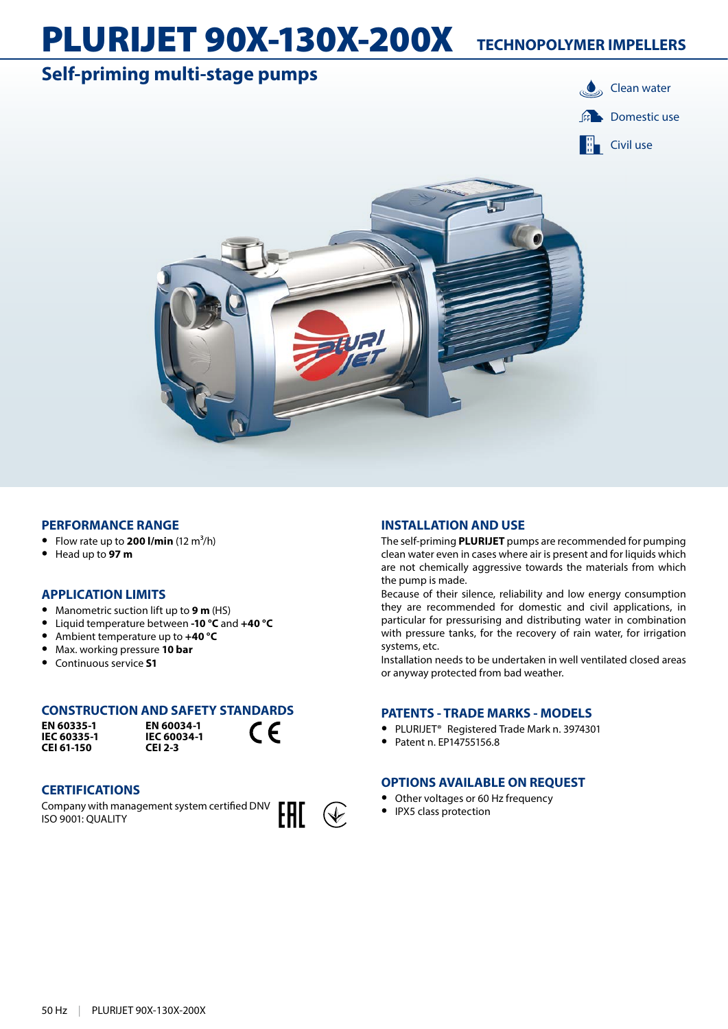# PLURIJET 90X-130X-200X **TECHNOPOLYMER IMPELLERS**

# **Self-priming multi-stage pumps Clean water**





#### **PERFORMANCE RANGE**

- Flow rate up to **200 l/min**  $(12 \text{ m}^3/\text{h})$
- **•** Head up to **97 m**

#### **APPLICATION LIMITS**

- **•** Manometric suction lift up to **9 m** (HS)
- **•** Liquid temperature between **-10 °C** and **+40 °C**
- **•** Ambient temperature up to **+40 °C**
- **•** Max. working pressure **10 bar**
- **•** Continuous service **S1**

### **CONSTRUCTION AND SAFETY STANDARDS**

**EN 60335-1 IEC 60335-1 CEI 61-150**

**EN 60034-1 IEC 60034-1 CEI 2-3**

#### **CERTIFICATIONS**

Company with management system certified DNV ISO 9001: QUALITY



 $\epsilon$ 

#### **INSTALLATION AND USE**

The self-priming **PLURIJET** pumps are recommended for pumping clean water even in cases where air is present and for liquids which are not chemically aggressive towards the materials from which the pump is made.

Because of their silence, reliability and low energy consumption they are recommended for domestic and civil applications, in particular for pressurising and distributing water in combination with pressure tanks, for the recovery of rain water, for irrigation systems, etc.

Installation needs to be undertaken in well ventilated closed areas or anyway protected from bad weather.

#### **PATENTS - TRADE MARKS - MODELS**

- **•** PLURIJET® Registered Trade Mark n. 3974301
- **•** Patent n. EP14755156.8

### **OPTIONS AVAILABLE ON REQUEST**

- **•** Other voltages or 60 Hz frequency
- **•** IPX5 class protection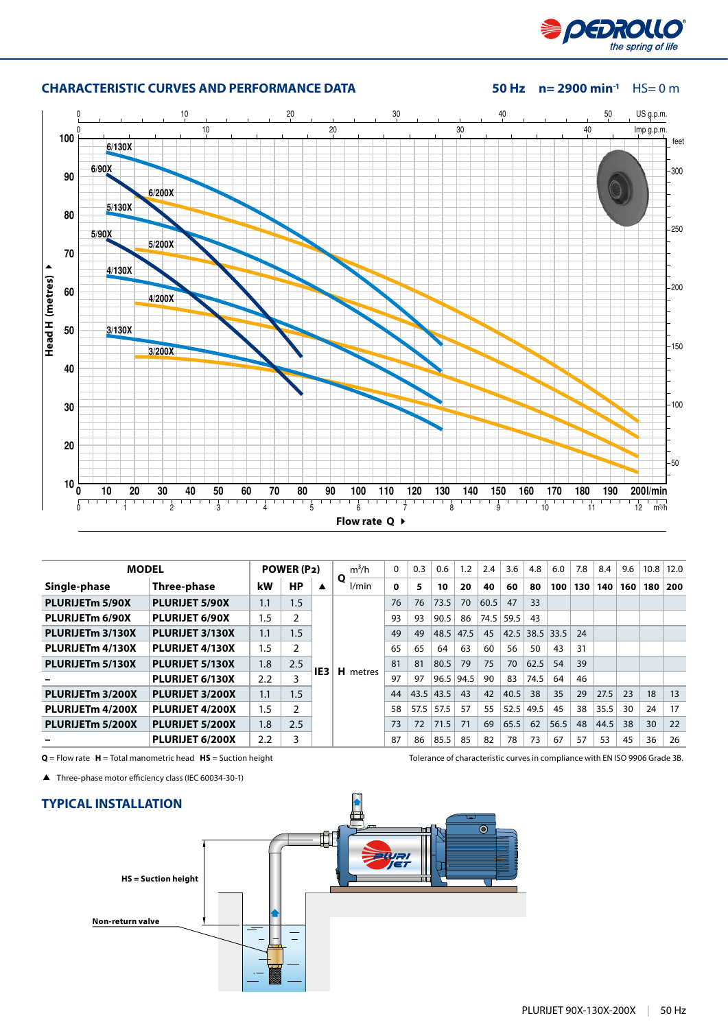



| <b>CHARACTERISTIC CURVES AND PERFORMANCE DATA</b> |
|---------------------------------------------------|
|                                                   |

#### **50 Hz**  $n= 2900$  **min<sup>-1</sup> HS= 0 m**

| <b>MODEL</b>                 |                       | POWER (P2) |           | $m^3/h$         | $\mathbf{0}$ | 0.3 | 0.6  | 1.2  | 2.4         | 3.6  | 4.8  | 6.0  | 7.8  | 8.4 | 9.6  | 10.8 | 12.0  |     |
|------------------------------|-----------------------|------------|-----------|-----------------|--------------|-----|------|------|-------------|------|------|------|------|-----|------|------|-------|-----|
| Single-phase                 | Three-phase           | kW         | <b>HP</b> | ▲               | Q<br>l/min   | 0   | 5    | 10   | 20          | 40   | 60   | 80   | 100  | 130 | 140  | 160  | 180 l | 200 |
| PLURIJET <sub>m</sub> 5/90X  | <b>PLURIJET 5/90X</b> | 1.1        | 1.5       |                 |              | 76  | 76   | 73.5 | 70          | 60.5 | 47   | 33   |      |     |      |      |       |     |
| PLURIJET <sub>m</sub> 6/90X  | <b>PLURIJET 6/90X</b> | 1.5        |           |                 |              | 93  | 93   | 90.5 | 86          | 74.5 | 59.5 | 43   |      |     |      |      |       |     |
| PLURIJETm 3/130X             | PLURIJET 3/130X       | 1.1        | 1.5       | IE <sub>3</sub> |              | 49  | 49   | 48.5 | 47.5        | 45   | 42.5 | 38.5 | 33.5 | 24  |      |      |       |     |
| PLURIJET <sub>m</sub> 4/130X | PLURIJET 4/130X       | 1.5        |           |                 | н.<br>metres | 65  | 65   | 64   | 63          | 60   | 56   | 50   | 43   | 31  |      |      |       |     |
| PLURIJETm 5/130X             | PLURIJET 5/130X       | 1.8        | 2.5       |                 |              | 81  | 81   | 80.5 | 79          | 75   | 70   | 62.5 | 54   | 39  |      |      |       |     |
|                              | PLURIJET 6/130X       | 2.2        | 3         |                 |              | 97  | 97   |      | $96.5$ 94.5 | 90   | 83   | 74.5 | 64   | 46  |      |      |       |     |
| PLURIJETm 3/200X             | PLURIJET 3/200X       | 1.1        | 1.5       |                 |              | 44  | 43.5 | 43.5 | 43          | 42   | 40.5 | 38   | 35   | 29  | 27.5 | 23   | 18    | 13  |
| PLURIJETm 4/200X             | PLURIJET 4/200X       | 1.5        | 2         |                 |              | 58  | 57.5 | 57.5 | 57          | 55   | 52.5 | 49.5 | 45   | 38  | 35.5 | 30   | 24    | 17  |
| PLURIJETm 5/200X             | PLURIJET 5/200X       | 1.8        | 2.5       |                 |              | 73  | 72   | 71.5 | 71          | 69   | 65.5 | 62   | 56.5 | 48  | 44.5 | 38   | 30    | 22  |
|                              | PLURIJET 6/200X       | 2.2        | 3         |                 |              | 87  | 86   | 85.5 | 85          | 82   | 78   | 73   | 67   | 57  | 53   | 45   | 36    | 26  |

Three-phase motor efficiency class (IEC 60034-30-1)



**Q** = Flow rate **H** = Total manometric head **HS** = Suction height Tolerance of characteristic curves in compliance with EN ISO 9906 Grade 3B.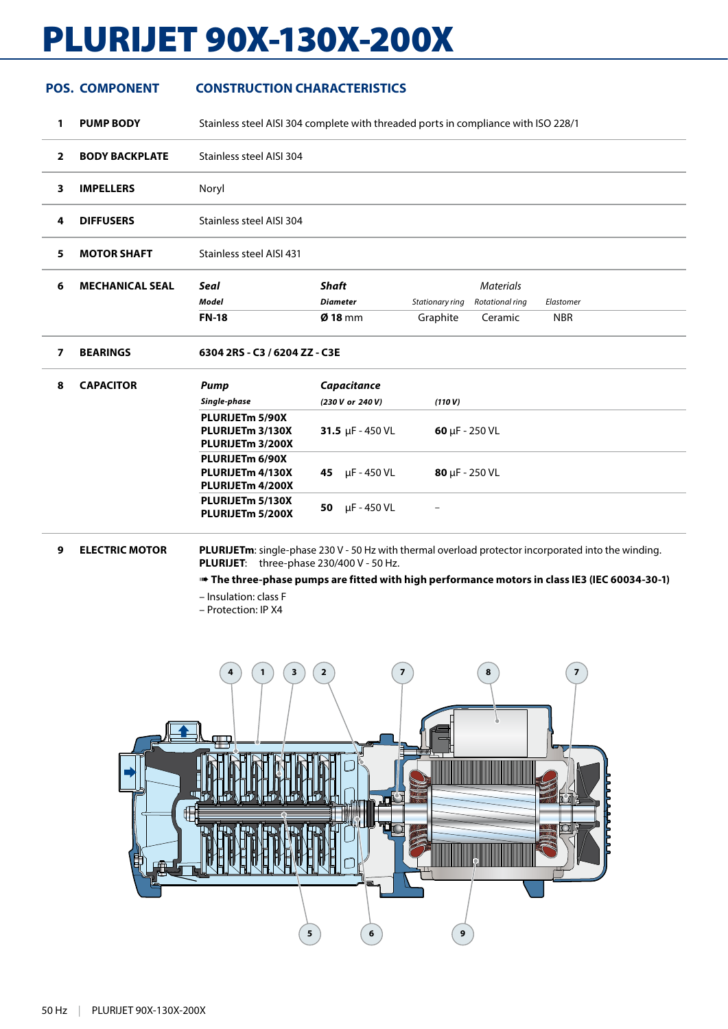# PLURIJET 90X-130X-200X

## **POS. COMPONENT CONSTRUCTION CHARACTERISTICS**

**1 PUMP BODY** Stainless steel AISI 304 complete with threaded ports in compliance with ISO 228/1

| $\mathbf{z}$ | <b>BODY BACKPLATE</b> | Stainless steel AISI 304 |
|--------------|-----------------------|--------------------------|
| 3            | <b>IMPELLERS</b>      | Noryl                    |
| 4            | <b>DIFFUSERS</b>      | Stainless steel AISI 304 |
| 5.           | <b>MOTOR SHAFT</b>    | Stainless steel AISI 431 |
|              |                       |                          |

| ╭ | <b>MECHANICAL SEAL</b> | <b>Seal</b>  | Shaft             |          | Materials                       |            |
|---|------------------------|--------------|-------------------|----------|---------------------------------|------------|
|   |                        | Model        | Diameter          |          | Stationary ring Rotational ring | Elastomer  |
|   |                        | <b>FN-18</b> | $\emptyset$ 18 mm | Graphite | Ceramic                         | <b>NBR</b> |

**7 BEARINGS 6304 2RS - C3 / 6204 ZZ - C3E**

| 8 | <b>CAPACITOR</b> | Pump                                                                            | Capacitance           |                             |  |  |  |  |
|---|------------------|---------------------------------------------------------------------------------|-----------------------|-----------------------------|--|--|--|--|
|   |                  | Single-phase                                                                    | (230 V or 240 V)      | (110 V)                     |  |  |  |  |
|   |                  | PLURIJETm 5/90X<br>PLURIJET <sub>m</sub> 3/130X<br>PLURIJETm 3/200X             | 31.5 $\mu$ F - 450 VL | $60 \mu F - 250 \text{ VL}$ |  |  |  |  |
|   |                  | PLURIJETm 6/90X<br>PLURIJET <sub>m</sub> 4/130X<br>PLURIJET <sub>m</sub> 4/200X | µF - 450 VL<br>45     | $80 \mu F - 250 \text{ VL}$ |  |  |  |  |
|   |                  | PLURIJETm 5/130X<br>PLURIJETm 5/200X                                            | µF - 450 VL<br>50     | $\overline{\phantom{0}}$    |  |  |  |  |

**9 ELECTRIC MOTOR PLURIJETm**: single-phase 230 V - 50 Hz with thermal overload protector incorporated into the winding. **PLURIJET**: three-phase 230/400 V - 50 Hz.

➠ **The three-phase pumps are fitted with high performance motors in class IE3 (IEC 60034-30-1)**

– Insulation: class F

– Protection: IP X4